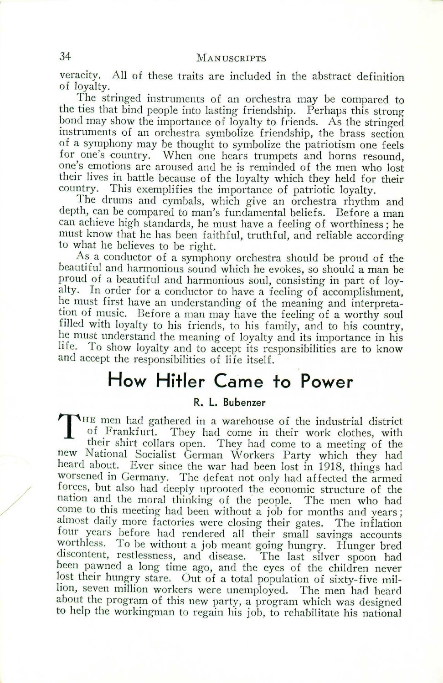### 34 MANUSCRIPTS

veracity. All of these traits are included in the abstract definition of loyalty.

The stringed instruments of an orchestra may be compared to the ties that bind people into lasting friendship. Perhaps this strongbond may show the importance of loyalty to friends. As the stringed instruments of an orchestra symbolize friendship, the brass section of a symphony may be thought to symbolize the patriotism one feels for one's country. When one hears trumpets and horns resound, one's emotions are aroused and he is reminded of the men who lost their lives in battle because of the loyalty which they held for their country. This exemplifies the importance of patriotic loyalty.

The drums and cymbals, which give an orchestra rhythm and depth, can be compared to man's fundamental beliefs. Before a man can achieve high standards, he must have a feeling of worthiness; he must know that he has been faithful, truthful, and reliable according to what he believes to be right.

As a conductor of a symphony orchestra should be proud of the beautiful and harmonious sound which he evokes, so should a man be proud of a beautiful and harmonious soul, consisting in part of loyalty. In order for a conductor to have a feeling of accomplishment, he must first have an understanding of the meaning and interpretation of music. Before a man may have the feeling of a worthy soul filled with loyalty to his friends, to his family, and to his country, he must understand the meaning of loyalty and its importance in his life. To show loyalty and to accept its responsibilities are to know and accept the responsibilities of life itself.

## **How Hitler Came to Power**

#### **R. L. Bubenzer**

T HE men had gathered in a warehouse of the industrial district of Frankfurt. They had come in their work clothes, with their shirt collars open. They had come to a meeting of the new National Socialist German Workers Party which they had heard about. Ever since the war had been lost in 1918, things had worsened in Germany. The defeat not only had affected the armed forces, but also had deeply uprooted the economic structure of the nation and the moral thinking of the people. The men who had come to this meeting had been without a job for months and years; almost daily more factories were closing their gates. The inflation four years before had rendered all their small savings accounts worthless. To be without a job meant going hungry. Hunger bred discontent, restlessness, and disease. The last silver spoon had been pawned a long time ago, and the eyes of the children never lost their hungry stare. Out of a total population of sixty-five million, seven million workers were unemployed. The men had heard about the program of this new party, a program which was designed to help the workingman to regain his job, to rehabilitate his national

/